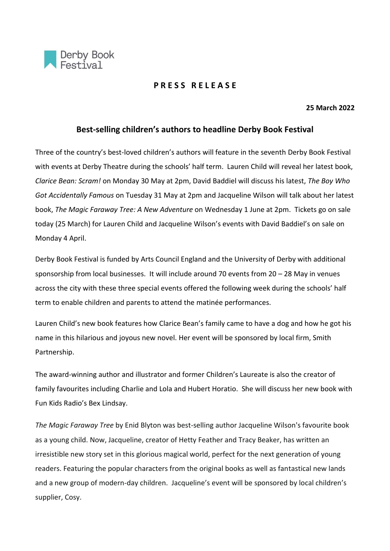

# **P R E S S R E L E A S E**

#### **25 March 2022**

# **Best-selling children's authors to headline Derby Book Festival**

Three of the country's best-loved children's authors will feature in the seventh Derby Book Festival with events at Derby Theatre during the schools' half term. Lauren Child will reveal her latest book, *Clarice Bean: Scram!* on Monday 30 May at 2pm, David Baddiel will discuss his latest, *The Boy Who Got Accidentally Famous* on Tuesday 31 May at 2pm and Jacqueline Wilson will talk about her latest book, *The Magic Faraway Tree: A New Adventure* on Wednesday 1 June at 2pm. Tickets go on sale today (25 March) for Lauren Child and Jacqueline Wilson's events with David Baddiel's on sale on Monday 4 April.

Derby Book Festival is funded by Arts Council England and the University of Derby with additional sponsorship from local businesses. It will include around 70 events from 20 – 28 May in venues across the city with these three special events offered the following week during the schools' half term to enable children and parents to attend the matinée performances.

Lauren Child's new book features how Clarice Bean's family came to have a dog and how he got his name in this hilarious and joyous new novel. Her event will be sponsored by local firm, Smith Partnership.

The award-winning author and illustrator and former Children's Laureate is also the creator of family favourites including Charlie and Lola and Hubert Horatio. She will discuss her new book with Fun Kids Radio's Bex Lindsay.

*The Magic Faraway Tree* by Enid Blyton was best-selling author Jacqueline Wilson's favourite book as a young child. Now, Jacqueline, creator of Hetty Feather and Tracy Beaker, has written an irresistible new story set in this glorious magical world, perfect for the next generation of young readers. Featuring the popular characters from the original books as well as fantastical new lands and a new group of modern-day children. Jacqueline's event will be sponsored by local children's supplier, Cosy.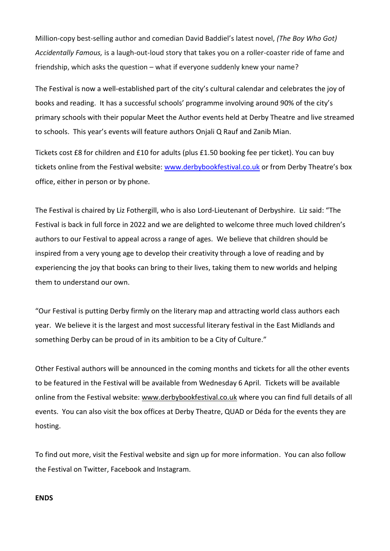Million-copy best-selling author and comedian David Baddiel's latest novel, *(The Boy Who Got) Accidentally Famous,* is a laugh-out-loud story that takes you on a roller-coaster ride of fame and friendship, which asks the question – what if everyone suddenly knew your name?

The Festival is now a well-established part of the city's cultural calendar and celebrates the joy of books and reading. It has a successful schools' programme involving around 90% of the city's primary schools with their popular Meet the Author events held at Derby Theatre and live streamed to schools. This year's events will feature authors Onjali Q Rauf and Zanib Mian.

Tickets cost £8 for children and £10 for adults (plus £1.50 booking fee per ticket). You can buy tickets online from the Festival website: [www.derbybookfestival.co.uk](http://www.derbybookfestival.co.uk/) or from Derby Theatre's box office, either in person or by phone.

The Festival is chaired by Liz Fothergill, who is also Lord-Lieutenant of Derbyshire. Liz said: "The Festival is back in full force in 2022 and we are delighted to welcome three much loved children's authors to our Festival to appeal across a range of ages. We believe that children should be inspired from a very young age to develop their creativity through a love of reading and by experiencing the joy that books can bring to their lives, taking them to new worlds and helping them to understand our own.

"Our Festival is putting Derby firmly on the literary map and attracting world class authors each year. We believe it is the largest and most successful literary festival in the East Midlands and something Derby can be proud of in its ambition to be a City of Culture."

Other Festival authors will be announced in the coming months and tickets for all the other events to be featured in the Festival will be available from Wednesday 6 April. Tickets will be available online from the Festival website: [www.derbybookfestival.co.uk](http://www.derbybookfestival.co.uk/) where you can find full details of all events. You can also visit the box offices at Derby Theatre, QUAD or Déda for the events they are hosting.

To find out more, visit the Festival website and sign up for more information. You can also follow the Festival on Twitter, Facebook and Instagram.

### **ENDS**